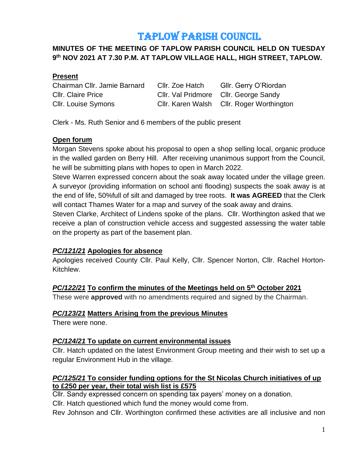# TAPLOW PARISH COUNCIL

# **MINUTES OF THE MEETING OF TAPLOW PARISH COUNCIL HELD ON TUESDAY 9 th NOV 2021 AT 7.30 P.M. AT TAPLOW VILLAGE HALL, HIGH STREET, TAPLOW.**

## **Present**

Chairman Cllr. Jamie Barnard Cllr. Zoe Hatch Gllr. Gerry O'Riordan Cllr. Claire Price Cllr. Val Pridmore Cllr. George Sandy Cllr. Louise Symons Cllr. Karen Walsh Cllr. Roger Worthington

Clerk - Ms. Ruth Senior and 6 members of the public present

## **Open forum**

Morgan Stevens spoke about his proposal to open a shop selling local, organic produce in the walled garden on Berry Hill. After receiving unanimous support from the Council, he will be submitting plans with hopes to open in March 2022.

Steve Warren expressed concern about the soak away located under the village green. A surveyor (providing information on school anti flooding) suspects the soak away is at the end of life, 50%full of silt and damaged by tree roots. **It was AGREED** that the Clerk will contact Thames Water for a map and survey of the soak away and drains.

Steven Clarke, Architect of Lindens spoke of the plans. Cllr. Worthington asked that we receive a plan of construction vehicle access and suggested assessing the water table on the property as part of the basement plan.

#### *PC/121/21* **Apologies for absence**

Apologies received County Cllr. Paul Kelly, Cllr. Spencer Norton, Cllr. Rachel Horton-Kitchlew.

# *PC/122/21* **To confirm the minutes of the Meetings held on 5 th October 2021**

These were **approved** with no amendments required and signed by the Chairman.

#### *PC/123/21* **Matters Arising from the previous Minutes**

There were none.

# *PC/124/21* **To update on current environmental issues**

Cllr. Hatch updated on the latest Environment Group meeting and their wish to set up a regular Environment Hub in the village.

## *PC/125/21* **To consider funding options for the St Nicolas Church initiatives of up to £250 per year, their total wish list is £575**

Cllr. Sandy expressed concern on spending tax payers' money on a donation.

Cllr. Hatch questioned which fund the money would come from.

Rev Johnson and Cllr. Worthington confirmed these activities are all inclusive and non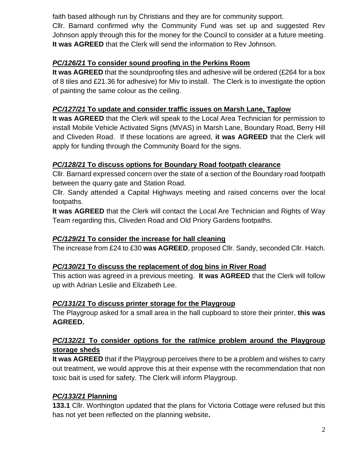faith based although run by Christians and they are for community support.

Cllr. Barnard confirmed why the Community Fund was set up and suggested Rev Johnson apply through this for the money for the Council to consider at a future meeting. **It was AGREED** that the Clerk will send the information to Rev Johnson.

# *PC/126/21* **To consider sound proofing in the Perkins Room**

**It was AGREED** that the soundproofing tiles and adhesive will be ordered (£264 for a box of 8 tiles and £21.36 for adhesive) for Miv to install. The Clerk is to investigate the option of painting the same colour as the ceiling.

## *PC/127/21* **To update and consider traffic issues on Marsh Lane, Taplow**

**It was AGREED** that the Clerk will speak to the Local Area Technician for permission to install Mobile Vehicle Activated Signs (MVAS) in Marsh Lane, Boundary Road, Berry Hill and Cliveden Road. If these locations are agreed, **it was AGREED** that the Clerk will apply for funding through the Community Board for the signs.

# *PC/128/21* **To discuss options for Boundary Road footpath clearance**

Cllr. Barnard expressed concern over the state of a section of the Boundary road footpath between the quarry gate and Station Road.

Cllr. Sandy attended a Capital Highways meeting and raised concerns over the local footpaths.

**It was AGREED** that the Clerk will contact the Local Are Technician and Rights of Way Team regarding this, Cliveden Road and Old Priory Gardens footpaths.

# *PC/129/21* **To consider the increase for hall cleaning**

The increase from £24 to £30 **was AGREED**, proposed Cllr. Sandy, seconded Cllr. Hatch.

#### *PC/130/21* **To discuss the replacement of dog bins in River Road**

This action was agreed in a previous meeting. **It was AGREED** that the Clerk will follow up with Adrian Leslie and Elizabeth Lee.

#### *PC/131/21* **To discuss printer storage for the Playgroup**

The Playgroup asked for a small area in the hall cupboard to store their printer, **this was AGREED.**

## *PC/132/21* **To consider options for the rat/mice problem around the Playgroup storage sheds**

**It was AGREED** that if the Playgroup perceives there to be a problem and wishes to carry out treatment, we would approve this at their expense with the recommendation that non toxic bait is used for safety. The Clerk will inform Playgroup.

#### *PC/133/21* **Planning**

**133.1** Cllr. Worthington updated that the plans for Victoria Cottage were refused but this has not yet been reflected on the planning website**.**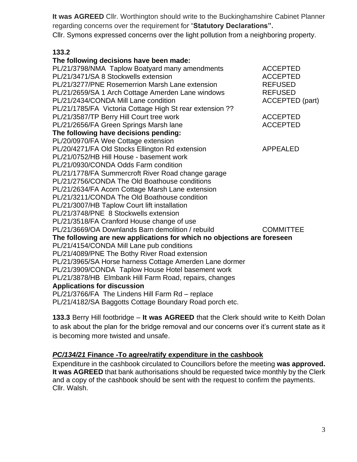**It was AGREED** Cllr. Worthington should write to the Buckinghamshire Cabinet Planner regarding concerns over the requirement for "**Statutory Declarations".** Cllr. Symons expressed concerns over the light pollution from a neighboring property.

## **133.2**

| The following decisions have been made:                                 |                        |
|-------------------------------------------------------------------------|------------------------|
| PL/21/3798/NMA Taplow Boatyard many amendments                          | <b>ACCEPTED</b>        |
| PL/21/3471/SA 8 Stockwells extension                                    | <b>ACCEPTED</b>        |
| PL/21/3277/PNE Rosemerrion Marsh Lane extension                         | <b>REFUSED</b>         |
| PL/21/2659/SA 1 Arch Cottage Amerden Lane windows                       | <b>REFUSED</b>         |
| PL/21/2434/CONDA Mill Lane condition                                    | <b>ACCEPTED</b> (part) |
| PL/21/1785/FA Victoria Cottage High St rear extension ??                |                        |
| PL/21/3587/TP Berry Hill Court tree work                                | <b>ACCEPTED</b>        |
| PL/21/2656/FA Green Springs Marsh lane                                  | <b>ACCEPTED</b>        |
| The following have decisions pending:                                   |                        |
| PL/20/0970/FA Wee Cottage extension                                     |                        |
| PL/20/4271/FA Old Stocks Ellington Rd extension                         | <b>APPEALED</b>        |
| PL/21/0752/HB Hill House - basement work                                |                        |
| PL/21/0930/CONDA Odds Farm condition                                    |                        |
| PL/21/1778/FA Summercroft River Road change garage                      |                        |
| PL/21/2756/CONDA The Old Boathouse conditions                           |                        |
| PL/21/2634/FA Acorn Cottage Marsh Lane extension                        |                        |
| PL/21/3211/CONDA The Old Boathouse condition                            |                        |
| PL/21/3007/HB Taplow Court lift installation                            |                        |
| PL/21/3748/PNE 8 Stockwells extension                                   |                        |
| PL/21/3518/FA Cranford House change of use                              |                        |
| PL/21/3669/OA Downlands Barn demolition / rebuild                       | <b>COMMITTEE</b>       |
| The following are new applications for which no objections are foreseen |                        |
| PL/21/4154/CONDA Mill Lane pub conditions                               |                        |
| PL/21/4089/PNE The Bothy River Road extension                           |                        |
| PL/21/3965/SA Horse harness Cottage Amerden Lane dormer                 |                        |
| PL/21/3909/CONDA Taplow House Hotel basement work                       |                        |
| PL/21/3878/HB Elmbank Hill Farm Road, repairs, changes                  |                        |
| <b>Applications for discussion</b>                                      |                        |
| PL/21/3766/FA The Lindens Hill Farm Rd - replace                        |                        |
| PL/21/4182/SA Baggotts Cottage Boundary Road porch etc.                 |                        |
|                                                                         |                        |

**133.3** Berry Hill footbridge – **It was AGREED** that the Clerk should write to Keith Dolan to ask about the plan for the bridge removal and our concerns over it's current state as it is becoming more twisted and unsafe.

## *PC/134/21* **Finance -To agree/ratify expenditure in the cashbook**

Expenditure in the cashbook circulated to Councillors before the meeting **was approved. It was AGREED** that bank authorisations should be requested twice monthly by the Clerk and a copy of the cashbook should be sent with the request to confirm the payments. Cllr. Walsh.